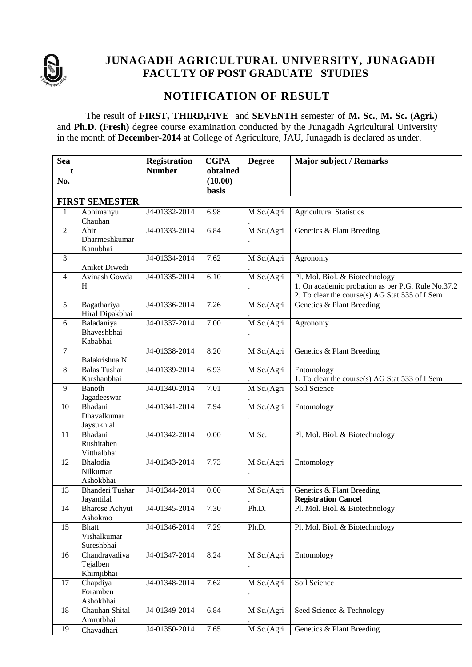

# **JUNAGADH AGRICULTURAL UNIVERSITY, JUNAGADH FACULTY OF POST GRADUATE STUDIES**

## **NOTIFICATION OF RESULT**

The result of **FIRST, THIRD,FIVE** and **SEVENTH** semester of **M. Sc.**, **M. Sc. (Agri.)** and **Ph.D. (Fresh)** degree course examination conducted by the Junagadh Agricultural University in the month of **December-2014** at College of Agriculture, JAU, Junagadh is declared as under.

| <b>Sea</b>     |                                           | <b>Registration</b> | <b>CGPA</b>         | <b>Degree</b>                      | <b>Major subject / Remarks</b>                                                                                                        |
|----------------|-------------------------------------------|---------------------|---------------------|------------------------------------|---------------------------------------------------------------------------------------------------------------------------------------|
| No.            |                                           | <b>Number</b>       | obtained<br>(10.00) |                                    |                                                                                                                                       |
|                |                                           |                     | basis               |                                    |                                                                                                                                       |
| 1              | <b>FIRST SEMESTER</b><br>Abhimanyu        | J4-01332-2014       | 6.98                | M.Sc.(Agri                         | <b>Agricultural Statistics</b>                                                                                                        |
|                | Chauhan                                   |                     |                     |                                    |                                                                                                                                       |
| $\overline{2}$ | Ahir                                      | J4-01333-2014       | 6.84                | M.Sc.(Agri                         | Genetics & Plant Breeding                                                                                                             |
|                | Dharmeshkumar<br>Kanubhai                 |                     |                     |                                    |                                                                                                                                       |
| 3              | Aniket Diwedi                             | J4-01334-2014       | 7.62                | M.Sc.(Agri                         | Agronomy                                                                                                                              |
| $\overline{4}$ | Avinash Gowda<br>H                        | J4-01335-2014       | 6.10                | M.Sc.(Agri                         | Pl. Mol. Biol. & Biotechnology<br>1. On academic probation as per P.G. Rule No.37.2<br>2. To clear the course(s) AG Stat 535 of I Sem |
| 5              | Bagathariya<br>Hiral Dipakbhai            | J4-01336-2014       | 7.26                | M.Sc.(Agri                         | Genetics & Plant Breeding                                                                                                             |
| 6              | Baladaniya<br>Bhaveshbhai<br>Kababhai     | J4-01337-2014       | 7.00                | M.Sc.(Agri                         | Agronomy                                                                                                                              |
| $\tau$         | Balakrishna N.                            | J4-01338-2014       | 8.20                | M.Sc.(Agri                         | Genetics & Plant Breeding                                                                                                             |
| 8              | <b>Balas Tushar</b><br>Karshanbhai        | J4-01339-2014       | 6.93                | M.Sc.(Agri                         | Entomology<br>1. To clear the course(s) AG Stat 533 of I Sem                                                                          |
| 9              | <b>Banoth</b><br>Jagadeeswar              | J4-01340-2014       | 7.01                | M.Sc.(Agri                         | Soil Science                                                                                                                          |
| 10             | Bhadani<br>Dhavalkumar<br>Jaysukhlal      | J4-01341-2014       | 7.94                | M.Sc.(Agri<br>$\ddot{\phantom{0}}$ | Entomology                                                                                                                            |
| 11             | Bhadani<br>Rushitaben<br>Vitthalbhai      | J4-01342-2014       | 0.00                | M.Sc.                              | Pl. Mol. Biol. & Biotechnology                                                                                                        |
| 12             | Bhalodia<br>Nilkumar<br>Ashokbhai         | J4-01343-2014       | 7.73                | M.Sc.(Agri                         | Entomology                                                                                                                            |
| 13             | <b>Bhanderi Tushar</b><br>Jayantilal      | J4-01344-2014       | 0.00                | M.Sc.(Agri                         | Genetics & Plant Breeding<br><b>Registration Cancel</b>                                                                               |
| 14             | <b>Bharose Achyut</b><br>Ashokrao         | J4-01345-2014       | 7.30                | Ph.D.                              | Pl. Mol. Biol. & Biotechnology                                                                                                        |
| 15             | <b>Bhatt</b><br>Vishalkumar<br>Sureshbhai | J4-01346-2014       | 7.29                | Ph.D.                              | Pl. Mol. Biol. & Biotechnology                                                                                                        |
| 16             | Chandravadiya<br>Tejalben<br>Khimjibhai   | J4-01347-2014       | 8.24                | M.Sc.(Agri                         | Entomology                                                                                                                            |
| 17             | Chapdiya<br>Foramben<br>Ashokbhai         | J4-01348-2014       | 7.62                | M.Sc.(Agri<br>$\bullet$            | Soil Science                                                                                                                          |
| 18             | Chauhan Shital<br>Amrutbhai               | J4-01349-2014       | 6.84                | M.Sc.(Agri                         | Seed Science & Technology                                                                                                             |
| 19             | Chavadhari                                | J4-01350-2014       | 7.65                | M.Sc.(Agri                         | Genetics & Plant Breeding                                                                                                             |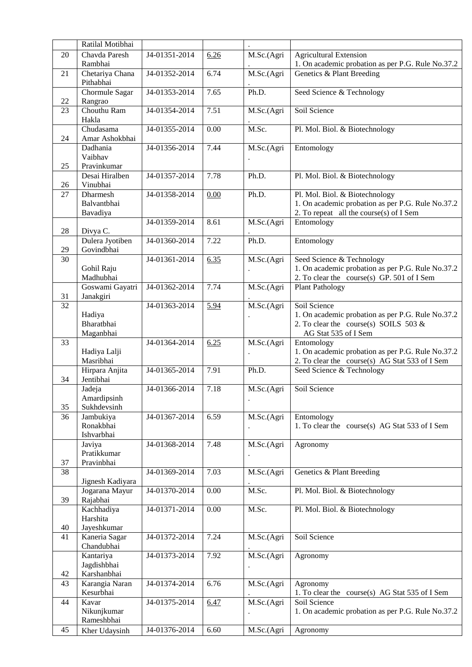|          | Ratilal Motibhai                    |               |      |            |                                                                                                                                |
|----------|-------------------------------------|---------------|------|------------|--------------------------------------------------------------------------------------------------------------------------------|
| 20       | Chavda Paresh<br>Rambhai            | J4-01351-2014 | 6.26 | M.Sc.(Agri | <b>Agricultural Extension</b><br>1. On academic probation as per P.G. Rule No.37.2                                             |
| 21       | Chetariya Chana<br>Pithabhai        | J4-01352-2014 | 6.74 | M.Sc.(Agri | Genetics & Plant Breeding                                                                                                      |
| 22       | Chormule Sagar<br>Rangrao           | J4-01353-2014 | 7.65 | Ph.D.      | Seed Science & Technology                                                                                                      |
| 23       | Chouthu Ram<br>Hakla                | J4-01354-2014 | 7.51 | M.Sc.(Agri | Soil Science                                                                                                                   |
| 24       | Chudasama<br>Amar Ashokbhai         | J4-01355-2014 | 0.00 | M.Sc.      | Pl. Mol. Biol. & Biotechnology                                                                                                 |
|          | Dadhania<br>Vaibhav                 | J4-01356-2014 | 7.44 | M.Sc.(Agri | Entomology                                                                                                                     |
| 25       | Pravinkumar                         |               |      |            |                                                                                                                                |
| 26       | Desai Hiralben<br>Vinubhai          | J4-01357-2014 | 7.78 | Ph.D.      | Pl. Mol. Biol. & Biotechnology                                                                                                 |
| 27       | Dharmesh<br>Balvantbhai<br>Bavadiya | J4-01358-2014 | 0.00 | Ph.D.      | Pl. Mol. Biol. & Biotechnology<br>1. On academic probation as per P.G. Rule No.37.2<br>2. To repeat all the course(s) of I Sem |
| $28\,$   | Divya C.                            | J4-01359-2014 | 8.61 | M.Sc.(Agri | Entomology                                                                                                                     |
| 29       | Dulera Jyotiben<br>Govindbhai       | J4-01360-2014 | 7.22 | Ph.D.      | Entomology                                                                                                                     |
| 30       | Gohil Raju<br>Madhubhai             | J4-01361-2014 | 6.35 | M.Sc.(Agri | Seed Science & Technology<br>1. On academic probation as per P.G. Rule No.37.2<br>2. To clear the course(s) GP. 501 of I Sem   |
|          | Goswami Gayatri                     | J4-01362-2014 | 7.74 | M.Sc.(Agri | <b>Plant Pathology</b>                                                                                                         |
| 31<br>32 | Janakgiri                           | J4-01363-2014 | 5.94 | M.Sc.(Agri | Soil Science                                                                                                                   |
|          | Hadiya                              |               |      |            | 1. On academic probation as per P.G. Rule No.37.2                                                                              |
|          | Bharatbhai<br>Maganbhai             |               |      |            | 2. To clear the course(s) SOILS 503 $&$<br>AG Stat 535 of I Sem                                                                |
| 33       |                                     | J4-01364-2014 | 6.25 | M.Sc.(Agri | Entomology                                                                                                                     |
|          |                                     |               |      |            |                                                                                                                                |
|          | Hadiya Lalji<br>Masribhai           |               |      |            | 1. On academic probation as per P.G. Rule No.37.2<br>2. To clear the course(s) AG Stat 533 of I Sem                            |
| 34       | Hirpara Anjita<br>Jentibhai         | J4-01365-2014 | 7.91 | Ph.D.      | Seed Science & Technology                                                                                                      |
|          | Jadeja<br>Amardipsinh               | J4-01366-2014 | 7.18 | M.Sc.(Agri | Soil Science                                                                                                                   |
| 35<br>36 | Sukhdevsinh                         | J4-01367-2014 | 6.59 |            |                                                                                                                                |
|          | Jambukiya<br>Ronakbhai              |               |      | M.Sc.(Agri | Entomology<br>1. To clear the course(s) AG Stat 533 of I Sem                                                                   |
|          | Ishvarbhai                          |               |      |            |                                                                                                                                |
|          | Javiya                              | J4-01368-2014 | 7.48 | M.Sc.(Agri | Agronomy                                                                                                                       |
|          | Pratikkumar<br>Pravinbhai           |               |      |            |                                                                                                                                |
| 37<br>38 | Jignesh Kadiyara                    | J4-01369-2014 | 7.03 | M.Sc.(Agri | Genetics & Plant Breeding                                                                                                      |
| 39       | Jogarana Mayur<br>Rajabhai          | J4-01370-2014 | 0.00 | M.Sc.      | Pl. Mol. Biol. & Biotechnology                                                                                                 |
|          | Kachhadiya                          | J4-01371-2014 | 0.00 | M.Sc.      | Pl. Mol. Biol. & Biotechnology                                                                                                 |
|          | Harshita                            |               |      |            |                                                                                                                                |
| 40       | Jayeshkumar                         |               |      |            |                                                                                                                                |
| 41       | Kaneria Sagar<br>Chandubhai         | J4-01372-2014 | 7.24 | M.Sc.(Agri | Soil Science                                                                                                                   |
|          | Kantariya<br>Jagdishbhai            | J4-01373-2014 | 7.92 | M.Sc.(Agri | Agronomy                                                                                                                       |
| 42       | Karshanbhai                         |               |      |            |                                                                                                                                |
| 43       | Karangia Naran<br>Kesurbhai         | J4-01374-2014 | 6.76 | M.Sc.(Agri | Agronomy<br>1. To clear the course(s) AG Stat 535 of I Sem                                                                     |
| 44       | Kavar                               | J4-01375-2014 | 6.47 | M.Sc.(Agri | Soil Science                                                                                                                   |
|          | Nikunjkumar                         |               |      |            | 1. On academic probation as per P.G. Rule No.37.2                                                                              |
| 45       | Rameshbhai<br>Kher Udaysinh         | J4-01376-2014 | 6.60 | M.Sc.(Agri | Agronomy                                                                                                                       |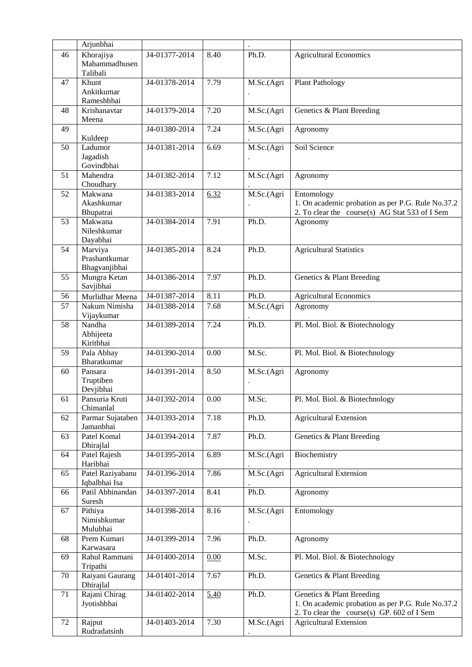|    | Arjunbhai                                 |                             |      | $\ddot{\phantom{1}}$            |                                                                                                                              |
|----|-------------------------------------------|-----------------------------|------|---------------------------------|------------------------------------------------------------------------------------------------------------------------------|
| 46 | Khorajiya<br>Mahammadhusen<br>Talibali    | J4-01377-2014               | 8.40 | Ph.D.                           | <b>Agricultural Economics</b>                                                                                                |
| 47 | Khunt<br>Ankitkumar                       | J4-01378-2014               | 7.79 | M.Sc.(Agri                      | <b>Plant Pathology</b>                                                                                                       |
|    | Rameshbhai                                |                             |      |                                 |                                                                                                                              |
| 48 | Krishanavtar<br>Meena                     | J4-01379-2014               | 7.20 | M.Sc.(Agri                      | Genetics & Plant Breeding                                                                                                    |
| 49 |                                           | J4-01380-2014               | 7.24 | M.Sc.(Agri                      | Agronomy                                                                                                                     |
|    | Kuldeep                                   |                             |      |                                 |                                                                                                                              |
| 50 | Ladumor<br>Jagadish                       | J4-01381-2014               | 6.69 | M.Sc.(Agri                      | Soil Science                                                                                                                 |
|    | Govindbhai                                |                             |      |                                 |                                                                                                                              |
| 51 | Mahendra                                  | J4-01382-2014               | 7.12 | M.Sc.(Agri                      | Agronomy                                                                                                                     |
| 52 | Choudhary<br>Makwana                      | J4-01383-2014               | 6.32 | M.Sc.(Agri                      |                                                                                                                              |
|    | Akashkumar                                |                             |      |                                 | Entomology<br>1. On academic probation as per P.G. Rule No.37.2                                                              |
|    | Bhupatrai                                 |                             |      |                                 | 2. To clear the course(s) AG Stat 533 of I Sem                                                                               |
| 53 | Makwana<br>Nileshkumar<br>Dayabhai        | J4-01384-2014               | 7.91 | Ph.D.                           | Agronomy                                                                                                                     |
| 54 | Marviya<br>Prashantkumar<br>Bhagvanjibhai | J4-01385-2014               | 8.24 | Ph.D.                           | <b>Agricultural Statistics</b>                                                                                               |
| 55 | Mungra Ketan<br>Savjibhai                 | J4-01386-2014               | 7.97 | Ph.D.                           | Genetics & Plant Breeding                                                                                                    |
| 56 | Murlidhar Meena                           | J4-01387-2014               | 8.11 | Ph.D.                           | <b>Agricultural Economics</b>                                                                                                |
| 57 | Nakum Nimisha<br>Vijaykumar               | J4-01388-2014               | 7.68 | M.Sc.(Agri                      | Agronomy                                                                                                                     |
| 58 | Nandha<br>Abhijeeta<br>Kiritbhai          | J4-01389-2014               | 7.24 | Ph.D.                           | Pl. Mol. Biol. & Biotechnology                                                                                               |
| 59 | Pala Abhay<br>Bharatkumar                 | J4-01390-2014               | 0.00 | M.Sc.                           | Pl. Mol. Biol. & Biotechnology                                                                                               |
| 60 | Pansara<br>Truptiben<br>Devjibhai         | J4-01391-2014               | 8.50 | M.Sc.(Agri                      | Agronomy                                                                                                                     |
| 61 | Pansuria Kruti<br>Chimanlal               | J4-01392-2014               | 0.00 | M.Sc.                           | Pl. Mol. Biol. & Biotechnology                                                                                               |
| 62 | Parmar Sujataben<br>Jamanbhai             | $\overline{J4}$ -01393-2014 | 7.18 | Ph.D.                           | <b>Agricultural Extension</b>                                                                                                |
| 63 | Patel Komal<br>Dhirajlal                  | $\overline{J4-0139}4-2014$  | 7.87 | Ph.D.                           | Genetics & Plant Breeding                                                                                                    |
| 64 | Patel Rajesh<br>Haribhai                  | J4-01395-2014               | 6.89 | $\overline{M}$ .Sc.(Agri        | Biochemistry                                                                                                                 |
| 65 | Patel Raziyabanu<br>Iqbalbhai Isa         | J4-01396-2014               | 7.86 | $\overline{\text{M.Sc.}}$ (Agri | <b>Agricultural Extension</b>                                                                                                |
| 66 | Patil Abhinandan<br>Suresh                | J4-01397-2014               | 8.41 | Ph.D.                           | Agronomy                                                                                                                     |
| 67 | Pithiya<br>Nimishkumar<br>Mulubhai        | J4-01398-2014               | 8.16 | M.Sc.(Agri                      | Entomology                                                                                                                   |
| 68 | Prem Kumari<br>Karwasara                  | J4-01399-2014               | 7.96 | Ph.D.                           | Agronomy                                                                                                                     |
| 69 | Rahul Rammani<br>Tripathi                 | J4-01400-2014               | 0.00 | M.Sc.                           | Pl. Mol. Biol. & Biotechnology                                                                                               |
| 70 | Raiyani Gaurang<br>Dhirajlal              | J4-01401-2014               | 7.67 | Ph.D.                           | Genetics & Plant Breeding                                                                                                    |
| 71 | Rajani Chirag<br>Jyotishbhai              | J4-01402-2014               | 5.40 | Ph.D.                           | Genetics & Plant Breeding<br>1. On academic probation as per P.G. Rule No.37.2<br>2. To clear the course(s) GP. 602 of I Sem |
| 72 | Rajput<br>Rudradatsinh                    | J4-01403-2014               | 7.30 | M.Sc.(Agri                      | <b>Agricultural Extension</b>                                                                                                |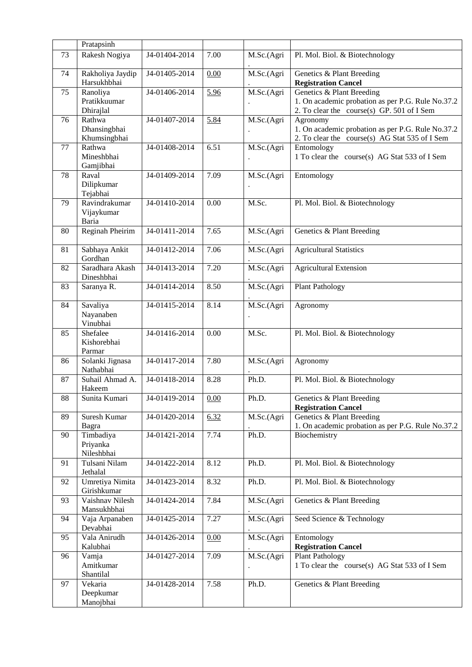|    | Pratapsinh                             |               |      |                          |                                                                                                                              |
|----|----------------------------------------|---------------|------|--------------------------|------------------------------------------------------------------------------------------------------------------------------|
| 73 | Rakesh Nogiya                          | J4-01404-2014 | 7.00 | M.Sc.(Agri               | Pl. Mol. Biol. & Biotechnology                                                                                               |
| 74 | Rakholiya Jaydip<br>Harsukhbhai        | J4-01405-2014 | 0.00 | M.Sc.(Agri               | Genetics & Plant Breeding<br><b>Registration Cancel</b>                                                                      |
| 75 | Ranoliya<br>Pratikkuumar<br>Dhirajlal  | J4-01406-2014 | 5.96 | M.Sc.(Agri               | Genetics & Plant Breeding<br>1. On academic probation as per P.G. Rule No.37.2<br>2. To clear the course(s) GP. 501 of I Sem |
| 76 | Rathwa<br>Dhansingbhai<br>Khumsingbhai | J4-01407-2014 | 5.84 | M.Sc.(Agri               | Agronomy<br>1. On academic probation as per P.G. Rule No.37.2<br>2. To clear the course(s) AG Stat 535 of I Sem              |
| 77 | Rathwa<br>Mineshbhai<br>Gamjibhai      | J4-01408-2014 | 6.51 | M.Sc.(Agri               | Entomology<br>1 To clear the course(s) AG Stat 533 of I Sem                                                                  |
| 78 | Raval<br>Dilipkumar<br>Tejabhai        | J4-01409-2014 | 7.09 | M.Sc.(Agri               | Entomology                                                                                                                   |
| 79 | Ravindrakumar<br>Vijaykumar<br>Baria   | J4-01410-2014 | 0.00 | M.Sc.                    | Pl. Mol. Biol. & Biotechnology                                                                                               |
| 80 | Reginah Pheirim                        | J4-01411-2014 | 7.65 | M.Sc.(Agri               | Genetics & Plant Breeding                                                                                                    |
| 81 | Sabhaya Ankit<br>Gordhan               | J4-01412-2014 | 7.06 | M.Sc.(Agri               | <b>Agricultural Statistics</b>                                                                                               |
| 82 | Saradhara Akash<br>Dineshbhai          | J4-01413-2014 | 7.20 | M.Sc.(Agri               | <b>Agricultural Extension</b>                                                                                                |
| 83 | Saranya R.                             | J4-01414-2014 | 8.50 | M.Sc.(Agri               | <b>Plant Pathology</b>                                                                                                       |
| 84 | Savaliya<br>Nayanaben<br>Vinubhai      | J4-01415-2014 | 8.14 | M.Sc.(Agri               | Agronomy                                                                                                                     |
| 85 | Shefalee<br>Kishorebhai<br>Parmar      | J4-01416-2014 | 0.00 | M.Sc.                    | Pl. Mol. Biol. & Biotechnology                                                                                               |
| 86 | Solanki Jignasa<br>Nathabhai           | J4-01417-2014 | 7.80 | M.Sc.(Agri               | Agronomy                                                                                                                     |
| 87 | Suhail Ahmad A.<br>Hakeem              | J4-01418-2014 | 8.28 | Ph.D.                    | Pl. Mol. Biol. & Biotechnology                                                                                               |
| 88 | Sunita Kumari                          | J4-01419-2014 | 0.00 | Ph.D.                    | Genetics & Plant Breeding<br><b>Registration Cancel</b>                                                                      |
| 89 | Suresh Kumar<br>Bagra                  | J4-01420-2014 | 6.32 | M.Sc.(Agri               | Genetics & Plant Breeding<br>1. On academic probation as per P.G. Rule No.37.2                                               |
| 90 | Timbadiya<br>Priyanka<br>Nileshbhai    | J4-01421-2014 | 7.74 | Ph.D.                    | Biochemistry                                                                                                                 |
| 91 | Tulsani Nilam<br>Jethalal              | J4-01422-2014 | 8.12 | Ph.D.                    | Pl. Mol. Biol. & Biotechnology                                                                                               |
| 92 | Umretiya Nimita<br>Girishkumar         | J4-01423-2014 | 8.32 | Ph.D.                    | Pl. Mol. Biol. & Biotechnology                                                                                               |
| 93 | Vaishnav Nilesh<br>Mansukhbhai         | J4-01424-2014 | 7.84 | M.Sc.(Agri               | Genetics & Plant Breeding                                                                                                    |
| 94 | Vaja Arpanaben<br>Devabhai             | J4-01425-2014 | 7.27 | M.Sc.(Agri               | Seed Science & Technology                                                                                                    |
| 95 | Vala Anirudh<br>Kalubhai               | J4-01426-2014 | 0.00 | $\overline{M}$ .Sc.(Agri | Entomology<br><b>Registration Cancel</b>                                                                                     |
| 96 | Vamja<br>Amitkumar<br>Shantilal        | J4-01427-2014 | 7.09 | M.Sc.(Agri               | <b>Plant Pathology</b><br>1 To clear the course(s) AG Stat 533 of I Sem                                                      |
| 97 | Vekaria<br>Deepkumar<br>Manojbhai      | J4-01428-2014 | 7.58 | Ph.D.                    | Genetics & Plant Breeding                                                                                                    |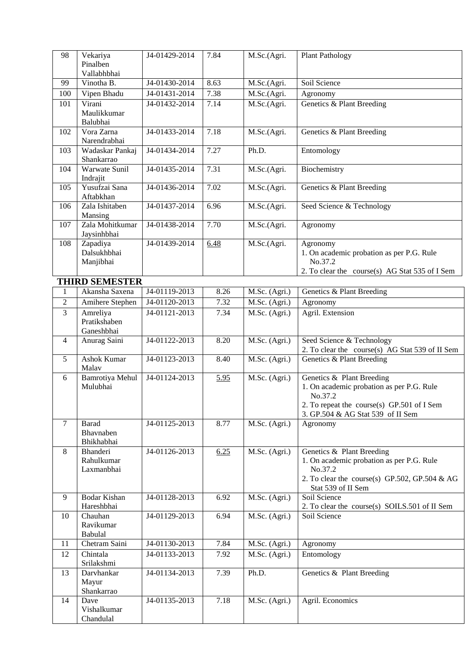| 98             | Vekariya                             | J4-01429-2014 | 7.84 | M.Sc.(Agri.                 | <b>Plant Pathology</b>                                                                                             |
|----------------|--------------------------------------|---------------|------|-----------------------------|--------------------------------------------------------------------------------------------------------------------|
|                | Pinalben                             |               |      |                             |                                                                                                                    |
|                | Vallabhbhai                          |               |      |                             |                                                                                                                    |
| 99             | Vinotha B.                           | J4-01430-2014 | 8.63 | M.Sc.(Agri.                 | Soil Science                                                                                                       |
| 100            | Vipen Bhadu                          | J4-01431-2014 | 7.38 | M.Sc.(Agri.                 | Agronomy                                                                                                           |
| 101            | Virani                               | J4-01432-2014 | 7.14 | $\overline{M}$ . Sc. (Agri. | Genetics & Plant Breeding                                                                                          |
|                | Maulikkumar<br>Balubhai              |               |      |                             |                                                                                                                    |
| 102            | Vora Zarna<br>Narendrabhai           | J4-01433-2014 | 7.18 | M.Sc.(Agri.                 | Genetics & Plant Breeding                                                                                          |
| 103            | Wadaskar Pankaj<br>Shankarrao        | J4-01434-2014 | 7.27 | Ph.D.                       | Entomology                                                                                                         |
| 104            | Warwate Sunil<br>Indrajit            | J4-01435-2014 | 7.31 | M.Sc.(Agri.                 | Biochemistry                                                                                                       |
| 105            | Yusufzai Sana<br>Aftabkhan           | J4-01436-2014 | 7.02 | M.Sc.(Agri.                 | Genetics & Plant Breeding                                                                                          |
| 106            | Zala Ishitaben<br>Mansing            | J4-01437-2014 | 6.96 | M.Sc.(Agri.                 | Seed Science & Technology                                                                                          |
| 107            | Zala Mohitkumar<br>Jaysinhbhai       | J4-01438-2014 | 7.70 | M.Sc.(Agri.                 | Agronomy                                                                                                           |
| 108            | Zapadiya<br>Dalsukhbhai<br>Manjibhai | J4-01439-2014 | 6.48 | M.Sc.(Agri.                 | Agronomy<br>1. On academic probation as per P.G. Rule<br>No.37.2<br>2. To clear the course(s) AG Stat 535 of I Sem |
|                | <b>THIRD SEMESTER</b>                |               |      |                             |                                                                                                                    |
| $\mathbf{1}$   | Akansha Saxena                       | J4-01119-2013 | 8.26 | M.Sc. (Agri.)               | Genetics & Plant Breeding                                                                                          |
| $\overline{2}$ | Amihere Stephen                      | J4-01120-2013 | 7.32 | M.Sc. (Agri.)               | Agronomy                                                                                                           |
| $\overline{3}$ | Amreliya                             | J4-01121-2013 | 7.34 | M.Sc. (Agri.)               | Agril. Extension                                                                                                   |
|                | Pratikshaben<br>Ganeshbhai           |               |      |                             |                                                                                                                    |
| 4              | Anurag Saini                         | J4-01122-2013 | 8.20 | M.Sc. (Agri.)               | Seed Science & Technology<br>2. To clear the course(s) AG Stat 539 of II Sem                                       |
| 5              | Ashok Kumar<br>Malav                 | J4-01123-2013 | 8.40 | M.Sc. (Agri.)               | Genetics & Plant Breeding                                                                                          |
| 6              | <b>Bamrotiya Mehul</b>               | J4-01124-2013 | 5.95 | M.Sc. (Agri.)               | Genetics & Plant Breeding                                                                                          |
|                | Mulubhai                             |               |      |                             | 1. On academic probation as per P.G. Rule                                                                          |
|                |                                      |               |      |                             | No.37.2                                                                                                            |
|                |                                      |               |      |                             | 2. To repeat the course(s) GP.501 of I Sem<br>3. GP.504 & AG Stat 539 of II Sem                                    |
| $\tau$         | <b>Barad</b>                         | J4-01125-2013 | 8.77 | M.Sc. (Agri.)               | Agronomy                                                                                                           |
|                | Bhavnaben                            |               |      |                             |                                                                                                                    |
|                | Bhikhabhai                           |               |      |                             |                                                                                                                    |
| 8              | Bhanderi                             | J4-01126-2013 | 6.25 | M.Sc. (Agri.)               | Genetics & Plant Breeding                                                                                          |
|                | Rahulkumar                           |               |      |                             | 1. On academic probation as per P.G. Rule                                                                          |
|                | Laxmanbhai                           |               |      |                             | No.37.2                                                                                                            |
|                |                                      |               |      |                             | 2. To clear the course(s) GP.502, GP.504 & AG                                                                      |
| 9              | <b>Bodar Kishan</b>                  | J4-01128-2013 | 6.92 | M.Sc. (Agri.)               | Stat 539 of II Sem<br>Soil Science                                                                                 |
|                | Hareshbhai                           |               |      |                             | 2. To clear the course(s) SOILS.501 of II Sem                                                                      |
| 10             | Chauhan                              | J4-01129-2013 | 6.94 | M.Sc. (Agri.)               | Soil Science                                                                                                       |
|                | Ravikumar                            |               |      |                             |                                                                                                                    |
|                | Babulal                              |               |      |                             |                                                                                                                    |
| 11             | Chetram Saini                        | J4-01130-2013 | 7.84 | M.Sc. (Agri.)               | Agronomy                                                                                                           |
| 12             | Chintala                             | J4-01133-2013 | 7.92 | M.Sc. (Agri.)               | Entomology                                                                                                         |
|                | Srilakshmi                           |               |      |                             |                                                                                                                    |
| 13             | Darvhankar                           | J4-01134-2013 | 7.39 | Ph.D.                       | Genetics & Plant Breeding                                                                                          |
|                | Mayur<br>Shankarrao                  |               |      |                             |                                                                                                                    |
| 14             | Dave                                 | J4-01135-2013 | 7.18 | M.Sc. (Agri.)               | Agril. Economics                                                                                                   |
|                | Vishalkumar                          |               |      |                             |                                                                                                                    |
|                | Chandulal                            |               |      |                             |                                                                                                                    |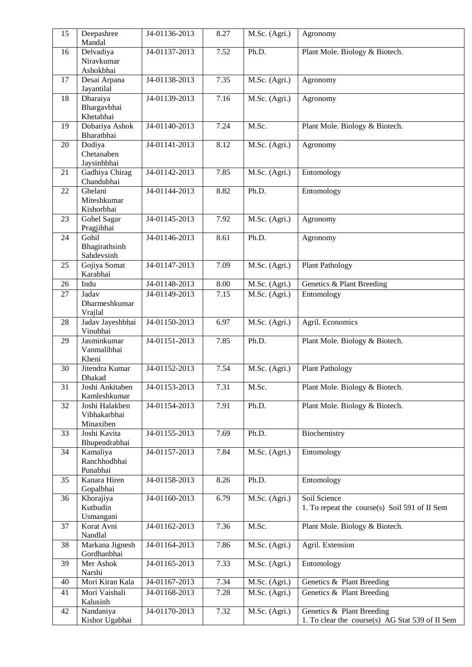| 15 | Deepashree<br>Mandal                        | J4-01136-2013               | 8.27 | M.Sc. (Agri.) | Agronomy                                                                     |
|----|---------------------------------------------|-----------------------------|------|---------------|------------------------------------------------------------------------------|
| 16 | Delvadiya                                   | J4-01137-2013               | 7.52 | Ph.D.         | Plant Mole. Biology & Biotech.                                               |
|    | Niravkumar<br>Ashokbhai                     |                             |      |               |                                                                              |
| 17 | Desai Arpana<br>Jayantilal                  | J4-01138-2013               | 7.35 | M.Sc. (Agri.) | Agronomy                                                                     |
| 18 | Dharaiya<br>Bhargavbhai<br>Khetabhai        | J4-01139-2013               | 7.16 | M.Sc. (Agri.) | Agronomy                                                                     |
| 19 | Dobariya Ashok<br>Bharatbhai                | J4-01140-2013               | 7.24 | M.Sc.         | Plant Mole. Biology & Biotech.                                               |
| 20 | Dodiya<br>Chetanaben<br>Jaysinhbhai         | J4-01141-2013               | 8.12 | M.Sc. (Agri.) | Agronomy                                                                     |
| 21 | Gadhiya Chirag<br>Chandubhai                | J4-01142-2013               | 7.85 | M.Sc. (Agri.) | Entomology                                                                   |
| 22 | Ghelani<br>Miteshkumar<br>Kishorbhai        | J4-01144-2013               | 8.82 | Ph.D.         | Entomology                                                                   |
| 23 | Gohel Sagar<br>Pragjibhai                   | J4-01145-2013               | 7.92 | M.Sc. (Agri.) | Agronomy                                                                     |
| 24 | Gohil<br>Bhagirathsinh<br>Sahdevsinh        | J4-01146-2013               | 8.61 | Ph.D.         | Agronomy                                                                     |
| 25 | Gojiya Somat<br>Karabhai                    | J4-01147-2013               | 7.09 | M.Sc. (Agri.) | <b>Plant Pathology</b>                                                       |
| 26 | Indu                                        | J4-01148-2013               | 8.00 | M.Sc. (Agri.) | Genetics & Plant Breeding                                                    |
| 27 | Jadav<br>Dharmeshkumar<br>Vrajlal           | J4-01149-2013               | 7.15 | M.Sc. (Agri.) | Entomology                                                                   |
| 28 | Jadav Jayeshbhai<br>Vinubhai                | J4-01150-2013               | 6.97 | M.Sc. (Agri.) | Agril. Economics                                                             |
| 29 | Jasminkumar<br>Vanmalibhai<br>Kheni         | J4-01151-2013               | 7.85 | Ph.D.         | Plant Mole. Biology & Biotech.                                               |
| 30 | Jitendra Kumar<br>Dhakad                    | J4-01152-2013               | 7.54 | M.Sc. (Agri.) | <b>Plant Pathology</b>                                                       |
| 31 | Joshi Ankitaben<br>Kamleshkumar             | $\overline{J4-01}$ 153-2013 | 7.31 | M.Sc.         | Plant Mole. Biology & Biotech.                                               |
| 32 | Joshi Halakben<br>Vibhakarbhai<br>Minaxiben | J4-01154-2013               | 7.91 | Ph.D.         | Plant Mole. Biology & Biotech.                                               |
| 33 | Joshi Kavita<br>Bhupendrabhai               | J4-01155-2013               | 7.69 | Ph.D.         | Biochemistry                                                                 |
| 34 | Kamaliya<br>Ranchhodbhai<br>Punabhai        | J4-01157-2013               | 7.84 | M.Sc. (Agri.) | Entomology                                                                   |
| 35 | Kanara Hiren<br>Gopalbhai                   | J4-01158-2013               | 8.26 | Ph.D.         | Entomology                                                                   |
| 36 | Khorajiya<br>Kutbudin<br>Usmangani          | J4-01160-2013               | 6.79 | M.Sc. (Agri.) | Soil Science<br>1. To repeat the course(s) Soil 591 of II Sem                |
| 37 | Korat Avni<br>Nandlal                       | J4-01162-2013               | 7.36 | M.Sc.         | Plant Mole. Biology & Biotech.                                               |
| 38 | Markana Jignesh<br>Gordhanbhai              | J4-01164-2013               | 7.86 | M.Sc. (Agri.) | Agril. Extension                                                             |
| 39 | Mer Ashok<br>Narshi                         | J4-01165-2013               | 7.33 | M.Sc. (Agri.) | Entomology                                                                   |
| 40 | Mori Kiran Kala                             | J4-01167-2013               | 7.34 | M.Sc. (Agri.) | Genetics & Plant Breeding                                                    |
| 41 | Mori Vaishali<br>Kalusinh                   | J4-01168-2013               | 7.28 | M.Sc. (Agri.) | Genetics & Plant Breeding                                                    |
| 42 | Nandaniya<br>Kishor Ugabhai                 | J4-01170-2013               | 7.32 | M.Sc. (Agri.) | Genetics & Plant Breeding<br>1. To clear the course(s) AG Stat 539 of II Sem |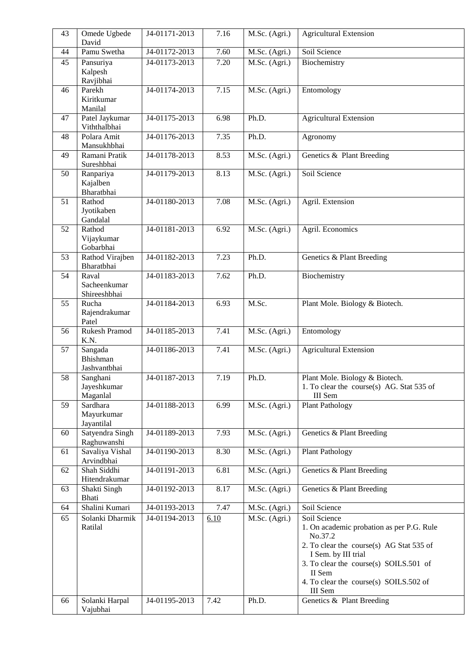| 43 | Omede Ugbede<br>David                 | J4-01171-2013 | 7.16 | M.Sc. (Agri.) | <b>Agricultural Extension</b>                                                                                                                                                                                                                    |
|----|---------------------------------------|---------------|------|---------------|--------------------------------------------------------------------------------------------------------------------------------------------------------------------------------------------------------------------------------------------------|
| 44 | Pamu Swetha                           | J4-01172-2013 | 7.60 | M.Sc. (Agri.) | Soil Science                                                                                                                                                                                                                                     |
| 45 | Pansuriya<br>Kalpesh<br>Ravjibhai     | J4-01173-2013 | 7.20 | M.Sc. (Agri.) | Biochemistry                                                                                                                                                                                                                                     |
| 46 | Parekh<br>Kiritkumar<br>Manilal       | J4-01174-2013 | 7.15 | M.Sc. (Agri.) | Entomology                                                                                                                                                                                                                                       |
| 47 | Patel Jaykumar<br>Viththalbhai        | J4-01175-2013 | 6.98 | Ph.D.         | <b>Agricultural Extension</b>                                                                                                                                                                                                                    |
| 48 | Polara Amit<br>Mansukhbhai            | J4-01176-2013 | 7.35 | Ph.D.         | Agronomy                                                                                                                                                                                                                                         |
| 49 | Ramani Pratik<br>Sureshbhai           | J4-01178-2013 | 8.53 | M.Sc. (Agri.) | Genetics & Plant Breeding                                                                                                                                                                                                                        |
| 50 | Ranpariya<br>Kajalben<br>Bharatbhai   | J4-01179-2013 | 8.13 | M.Sc. (Agri.) | Soil Science                                                                                                                                                                                                                                     |
| 51 | Rathod<br>Jyotikaben<br>Gandalal      | J4-01180-2013 | 7.08 | M.Sc. (Agri.) | Agril. Extension                                                                                                                                                                                                                                 |
| 52 | Rathod<br>Vijaykumar<br>Gobarbhai     | J4-01181-2013 | 6.92 | M.Sc. (Agri.) | Agril. Economics                                                                                                                                                                                                                                 |
| 53 | Rathod Virajben<br>Bharatbhai         | J4-01182-2013 | 7.23 | Ph.D.         | Genetics & Plant Breeding                                                                                                                                                                                                                        |
| 54 | Raval<br>Sacheenkumar<br>Shireeshbhai | J4-01183-2013 | 7.62 | Ph.D.         | Biochemistry                                                                                                                                                                                                                                     |
| 55 | Rucha<br>Rajendrakumar<br>Patel       | J4-01184-2013 | 6.93 | M.Sc.         | Plant Mole. Biology & Biotech.                                                                                                                                                                                                                   |
| 56 | Rukesh Pramod<br>K.N.                 | J4-01185-2013 | 7.41 | M.Sc. (Agri.) | Entomology                                                                                                                                                                                                                                       |
| 57 | Sangada<br>Bhishman<br>Jashvantbhai   | J4-01186-2013 | 7.41 | M.Sc. (Agri.) | <b>Agricultural Extension</b>                                                                                                                                                                                                                    |
| 58 | Sanghani<br>Jayeshkumar<br>Maganlal   | J4-01187-2013 | 7.19 | Ph.D.         | Plant Mole. Biology & Biotech.<br>1. To clear the course(s) AG. Stat 535 of<br>III Sem                                                                                                                                                           |
| 59 | Sardhara<br>Mayurkumar<br>Jayantilal  | J4-01188-2013 | 6.99 | M.Sc. (Agri.) | <b>Plant Pathology</b>                                                                                                                                                                                                                           |
| 60 | Satyendra Singh<br>Raghuwanshi        | J4-01189-2013 | 7.93 | M.Sc. (Agri.) | Genetics & Plant Breeding                                                                                                                                                                                                                        |
| 61 | Savaliya Vishal<br>Arvindbhai         | J4-01190-2013 | 8.30 | M.Sc. (Agri.) | <b>Plant Pathology</b>                                                                                                                                                                                                                           |
| 62 | Shah Siddhi<br>Hitendrakumar          | J4-01191-2013 | 6.81 | M.Sc. (Agri.) | Genetics & Plant Breeding                                                                                                                                                                                                                        |
| 63 | Shakti Singh<br>Bhati                 | J4-01192-2013 | 8.17 | M.Sc. (Agri.) | Genetics & Plant Breeding                                                                                                                                                                                                                        |
| 64 | Shalini Kumari                        | J4-01193-2013 | 7.47 | M.Sc. (Agri.) | Soil Science                                                                                                                                                                                                                                     |
| 65 | Solanki Dharmik<br>Ratilal            | J4-01194-2013 | 6.10 | M.Sc. (Agri.) | Soil Science<br>1. On academic probation as per P.G. Rule<br>No.37.2<br>2. To clear the course(s) AG Stat 535 of<br>I Sem. by III trial<br>3. To clear the course(s) SOILS.501 of<br>II Sem<br>4. To clear the course(s) SOILS.502 of<br>III Sem |
| 66 | Solanki Harpal<br>Vajubhai            | J4-01195-2013 | 7.42 | Ph.D.         | Genetics & Plant Breeding                                                                                                                                                                                                                        |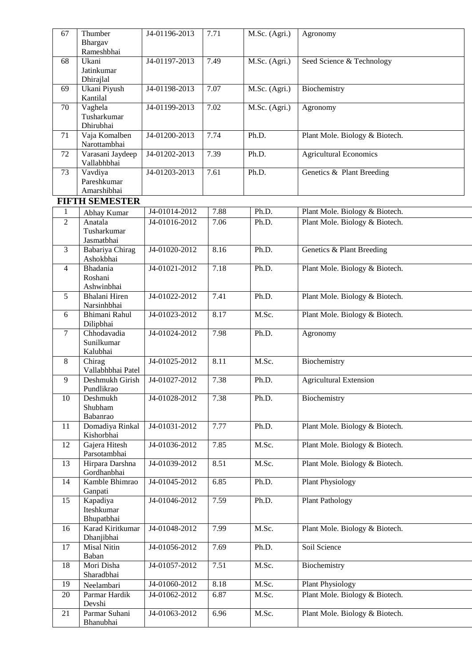| 67                  | Thumber                               | J4-01196-2013              | 7.71 | M.Sc. (Agri.) | Agronomy                       |
|---------------------|---------------------------------------|----------------------------|------|---------------|--------------------------------|
|                     | Bhargav                               |                            |      |               |                                |
|                     | Rameshbhai<br>Ukani                   |                            | 7.49 |               |                                |
| 68                  | Jatinkumar<br>Dhirajlal               | J4-01197-2013              |      | M.Sc. (Agri.) | Seed Science & Technology      |
| 69                  | Ukani Piyush<br>Kantilal              | J4-01198-2013              | 7.07 | M.Sc. (Agri.) | Biochemistry                   |
| 70                  | Vaghela<br>Tusharkumar                | J4-01199-2013              | 7.02 | M.Sc. (Agri.) | Agronomy                       |
| 71                  | Dhirubhai<br>Vaja Komalben            | J4-01200-2013              | 7.74 | Ph.D.         | Plant Mole. Biology & Biotech. |
|                     | Narottambhai                          |                            |      |               |                                |
| 72                  | Varasani Jaydeep<br>Vallabhbhai       | J4-01202-2013              | 7.39 | Ph.D.         | <b>Agricultural Economics</b>  |
| 73                  | Vavdiya<br>Pareshkumar                | J4-01203-2013              | 7.61 | Ph.D.         | Genetics & Plant Breeding      |
|                     | Amarshibhai                           |                            |      |               |                                |
|                     | <b>FIFTH SEMESTER</b>                 | J4-01014-2012              | 7.88 | Ph.D.         |                                |
| 1<br>$\overline{2}$ | Abhay Kumar<br>Anatala                |                            |      |               | Plant Mole. Biology & Biotech. |
|                     | Tusharkumar<br>Jasmatbhai             | J4-01016-2012              | 7.06 | Ph.D.         | Plant Mole. Biology & Biotech. |
| 3                   | Babariya Chirag<br>Ashokbhai          | J4-01020-2012              | 8.16 | Ph.D.         | Genetics & Plant Breeding      |
| $\overline{4}$      | Bhadania<br>Roshani<br>Ashwinbhai     | J4-01021-2012              | 7.18 | Ph.D.         | Plant Mole. Biology & Biotech. |
| 5                   | Bhalani Hiren<br>Narsinhbhai          | J4-01022-2012              | 7.41 | Ph.D.         | Plant Mole. Biology & Biotech. |
| 6                   | Bhimani Rahul<br>Dilipbhai            | J4-01023-2012              | 8.17 | M.Sc.         | Plant Mole. Biology & Biotech. |
| $\tau$              | Chhodavadia<br>Sunilkumar<br>Kalubhai | J4-01024-2012              | 7.98 | Ph.D.         | Agronomy                       |
| $8\,$               | Chirag<br>Vallabhbhai Patel           | J4-01025-2012              | 8.11 | M.Sc.         | Biochemistry                   |
| 9                   | Deshmukh Girish<br>Pundlikrao         | J4-01027-2012              | 7.38 | Ph.D.         | <b>Agricultural Extension</b>  |
| 10                  | Deshmukh<br>Shubham<br>Babanrao       | J4-01028-2012              | 7.38 | Ph.D.         | Biochemistry                   |
| 11                  | Domadiya Rinkal<br>Kishorbhai         | $\overline{J4-0103}1-2012$ | 7.77 | Ph.D.         | Plant Mole. Biology & Biotech. |
| 12                  | Gajera Hitesh<br>Parsotambhai         | J4-01036-2012              | 7.85 | M.Sc.         | Plant Mole. Biology & Biotech. |
| 13                  | Hirpara Darshna<br>Gordhanbhai        | J4-01039-2012              | 8.51 | M.Sc.         | Plant Mole. Biology & Biotech. |
| 14                  | Kamble Bhimrao<br>Ganpati             | J4-01045-2012              | 6.85 | Ph.D.         | <b>Plant Physiology</b>        |
| 15                  | Kapadiya<br>Iteshkumar<br>Bhupatbhai  | J4-01046-2012              | 7.59 | Ph.D.         | <b>Plant Pathology</b>         |
| 16                  | Karad Kiritkumar<br>Dhanjibhai        | J4-01048-2012              | 7.99 | M.Sc.         | Plant Mole. Biology & Biotech. |
| 17                  | Misal Nitin<br>Baban                  | J4-01056-2012              | 7.69 | Ph.D.         | Soil Science                   |
| 18                  | Mori Disha<br>Sharadbhai              | J4-01057-2012              | 7.51 | M.Sc.         | Biochemistry                   |
| 19                  | Neelambari                            | J4-01060-2012              | 8.18 | M.Sc.         | <b>Plant Physiology</b>        |
| 20                  | Parmar Hardik<br>Devshi               | J4-01062-2012              | 6.87 | M.Sc.         | Plant Mole. Biology & Biotech. |
| 21                  | Parmar Suhani<br>Bhanubhai            | J4-01063-2012              | 6.96 | M.Sc.         | Plant Mole. Biology & Biotech. |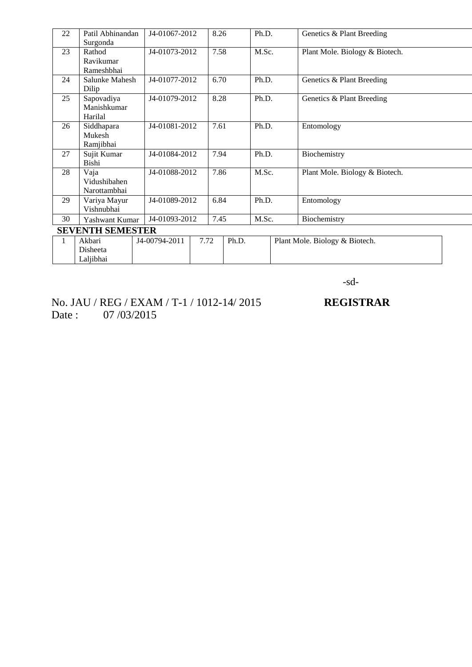| 22 | Patil Abhinandan        | J4-01067-2012 | 8.26 |       | Ph.D. | Genetics & Plant Breeding      |  |
|----|-------------------------|---------------|------|-------|-------|--------------------------------|--|
|    | Surgonda                |               |      |       |       |                                |  |
| 23 | Rathod                  | J4-01073-2012 | 7.58 |       | M.Sc. | Plant Mole. Biology & Biotech. |  |
|    | Ravikumar               |               |      |       |       |                                |  |
|    | Rameshbhai              |               |      |       |       |                                |  |
| 24 | Salunke Mahesh          | J4-01077-2012 | 6.70 |       | Ph.D. | Genetics & Plant Breeding      |  |
|    | Dilip                   |               |      |       |       |                                |  |
| 25 | Sapovadiya              | J4-01079-2012 | 8.28 |       | Ph.D. | Genetics & Plant Breeding      |  |
|    | Manishkumar             |               |      |       |       |                                |  |
|    | Harilal                 |               |      |       |       |                                |  |
| 26 | Siddhapara              | J4-01081-2012 | 7.61 |       | Ph.D. | Entomology                     |  |
|    | Mukesh                  |               |      |       |       |                                |  |
|    | Ramjibhai               |               |      |       |       |                                |  |
| 27 | Sujit Kumar             | J4-01084-2012 | 7.94 |       | Ph.D. | Biochemistry                   |  |
|    | Bishi                   |               |      |       |       |                                |  |
| 28 | Vaja                    | J4-01088-2012 | 7.86 |       | M.Sc. | Plant Mole. Biology & Biotech. |  |
|    | Vidushibahen            |               |      |       |       |                                |  |
|    | Narottambhai            |               |      |       |       |                                |  |
| 29 | Variya Mayur            | J4-01089-2012 | 6.84 |       | Ph.D. | Entomology                     |  |
|    | Vishnubhai              |               |      |       |       |                                |  |
| 30 | Yashwant Kumar          | J4-01093-2012 | 7.45 |       | M.Sc. | Biochemistry                   |  |
|    | <b>SEVENTH SEMESTER</b> |               |      |       |       |                                |  |
| 1  | Akbari                  | J4-00794-2011 | 7.72 | Ph.D. |       | Plant Mole. Biology & Biotech. |  |
|    | Disheeta                |               |      |       |       |                                |  |
|    | Laljibhai               |               |      |       |       |                                |  |

-sd-

No. JAU / REG / EXAM / T-1 / 1012-14/ 2015 **REGISTRAR** Date : 07/03/2015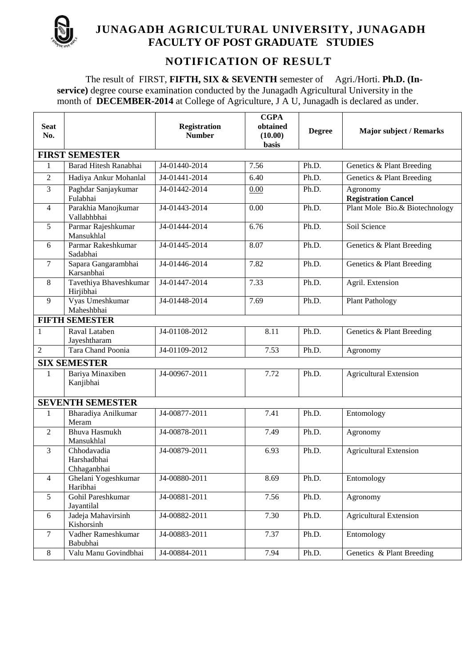

# **JUNAGADH AGRICULTURAL UNIVERSITY, JUNAGADH FACULTY OF POST GRADUATE STUDIES**

# **NOTIFICATION OF RESULT**

The result of FIRST, **FIFTH, SIX & SEVENTH** semester of Agri./Horti. **Ph.D. (Inservice)** degree course examination conducted by the Junagadh Agricultural University in the month of **DECEMBER-2014** at College of Agriculture, J A U, Junagadh is declared as under.

| <b>Seat</b><br>No. |                                           | <b>Registration</b><br><b>Number</b> | <b>CGPA</b><br>obtained<br>(10.00)<br><b>basis</b> | <b>Degree</b> | <b>Major subject / Remarks</b>         |
|--------------------|-------------------------------------------|--------------------------------------|----------------------------------------------------|---------------|----------------------------------------|
|                    | <b>FIRST SEMESTER</b>                     |                                      |                                                    |               |                                        |
| 1                  | Barad Hitesh Ranabhai                     | J4-01440-2014                        | 7.56                                               | Ph.D.         | Genetics & Plant Breeding              |
| $\overline{2}$     | Hadiya Ankur Mohanlal                     | J4-01441-2014                        | 6.40                                               | Ph.D.         | Genetics & Plant Breeding              |
| 3                  | Paghdar Sanjaykumar<br>Fulabhai           | J4-01442-2014                        | 0.00                                               | Ph.D.         | Agronomy<br><b>Registration Cancel</b> |
| $\overline{4}$     | Parakhia Manojkumar<br>Vallabhbhai        | J4-01443-2014                        | 0.00                                               | Ph.D.         | Plant Mole Bio.& Biotechnology         |
| 5                  | Parmar Rajeshkumar<br>Mansukhlal          | J4-01444-2014                        | 6.76                                               | Ph.D.         | Soil Science                           |
| 6                  | Parmar Rakeshkumar<br>Sadabhai            | J4-01445-2014                        | 8.07                                               | Ph.D.         | Genetics & Plant Breeding              |
| $\tau$             | Sapara Gangarambhai<br>Karsanbhai         | J4-01446-2014                        | 7.82                                               | Ph.D.         | Genetics & Plant Breeding              |
| 8                  | Tavethiya Bhaveshkumar<br>Hirjibhai       | J4-01447-2014                        | 7.33                                               | Ph.D.         | Agril. Extension                       |
| 9                  | Vyas Umeshkumar<br>Maheshbhai             | J4-01448-2014                        | 7.69                                               | Ph.D.         | <b>Plant Pathology</b>                 |
|                    | <b>FIFTH SEMESTER</b>                     |                                      |                                                    |               |                                        |
| $\mathbf{1}$       | Raval Lataben<br>Jayeshtharam             | J4-01108-2012                        | 8.11                                               | Ph.D.         | Genetics & Plant Breeding              |
| 2                  | Tara Chand Poonia                         | J4-01109-2012                        | 7.53                                               | Ph.D.         | Agronomy                               |
|                    | <b>SIX SEMESTER</b>                       |                                      |                                                    |               |                                        |
| $\mathbf{1}$       | Bariya Minaxiben<br>Kanjibhai             | J4-00967-2011                        | 7.72                                               | Ph.D.         | <b>Agricultural Extension</b>          |
|                    | <b>SEVENTH SEMESTER</b>                   |                                      |                                                    |               |                                        |
| 1                  | Bharadiya Anilkumar<br>Meram              | J4-00877-2011                        | 7.41                                               | Ph.D.         | Entomology                             |
| $\mathfrak{D}$     | <b>Bhuva Hasmukh</b><br>Mansukhlal        | J4-00878-2011                        | 7.49                                               | Ph.D.         | Agronomy                               |
| 3                  | Chhodavadia<br>Harshadbhai<br>Chhaganbhai | J4-00879-2011                        | 6.93                                               | Ph.D.         | <b>Agricultural Extension</b>          |
| $\overline{4}$     | Ghelani Yogeshkumar<br>Haribhai           | J4-00880-2011                        | 8.69                                               | Ph.D.         | Entomology                             |
| 5                  | Gohil Pareshkumar<br>Jayantilal           | J4-00881-2011                        | 7.56                                               | Ph.D.         | Agronomy                               |
| 6                  | Jadeja Mahavirsinh<br>Kishorsinh          | J4-00882-2011                        | 7.30                                               | Ph.D.         | <b>Agricultural Extension</b>          |
| $\tau$             | Vadher Rameshkumar<br>Babubhai            | J4-00883-2011                        | 7.37                                               | Ph.D.         | Entomology                             |
| 8                  | Valu Manu Govindbhai                      | J4-00884-2011                        | 7.94                                               | Ph.D.         | Genetics & Plant Breeding              |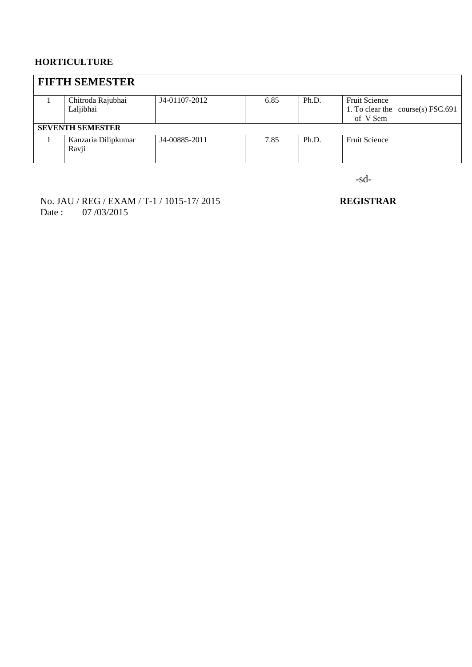### **HORTICULTURE**

| <b>FIFTH SEMESTER</b>   |               |      |       |                                            |
|-------------------------|---------------|------|-------|--------------------------------------------|
| Chitroda Rajubhai       | J4-01107-2012 | 6.85 | Ph.D. | <b>Fruit Science</b>                       |
| Laljibhai               |               |      |       | 1. To clear the course(s) $\text{FSC}.691$ |
|                         |               |      |       | of V Sem                                   |
| <b>SEVENTH SEMESTER</b> |               |      |       |                                            |
| Kanzaria Dilipkumar     | J4-00885-2011 | 7.85 | Ph.D. | <b>Fruit Science</b>                       |
| Ravji                   |               |      |       |                                            |
|                         |               |      |       |                                            |

-sd-

No. JAU / REG / EXAM / T-1 / 1015-17/ 2015 **REGISTRAR** Date : 07/03/2015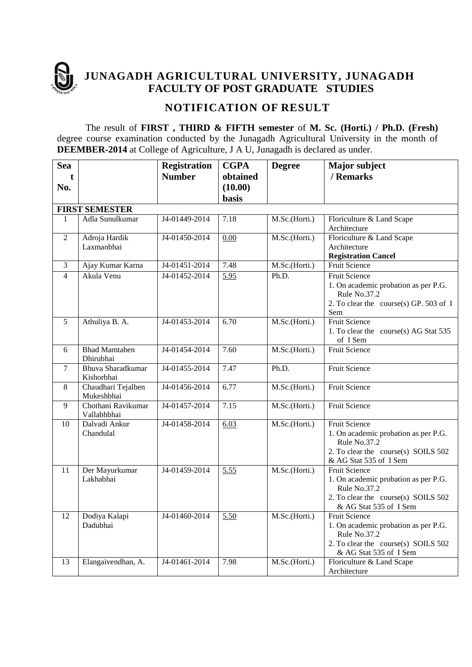

**JUNAGADH AGRICULTURAL UNIVERSITY, JUNAGADH FACULTY OF POST GRADUATE STUDIES** 

## **NOTIFICATION OF RESULT**

The result of **FIRST , THIRD & FIFTH semester** of **M. Sc. (Horti.) / Ph.D. (Fresh)**  degree course examination conducted by the Junagadh Agricultural University in the month of **DEEMBER-2014** at College of Agriculture, J A U, Junagadh is declared as under.

| <b>Sea</b>     |                                  | <b>Registration</b> | <b>CGPA</b>  | <b>Degree</b> | <b>Major subject</b>                                 |
|----------------|----------------------------------|---------------------|--------------|---------------|------------------------------------------------------|
| t              |                                  | <b>Number</b>       | obtained     |               | / Remarks                                            |
| No.            |                                  |                     | (10.00)      |               |                                                      |
|                |                                  |                     | <b>basis</b> |               |                                                      |
|                | <b>FIRST SEMESTER</b>            |                     |              |               |                                                      |
| $\mathbf{1}$   | Adla Sunulkumar                  | J4-01449-2014       | 7.18         | M.Sc.(Horti.) | Floriculture & Land Scape                            |
|                |                                  |                     |              |               | Architecture                                         |
| $\overline{2}$ | Adroja Hardik                    | J4-01450-2014       | 0.00         | M.Sc.(Horti.) | Floriculture & Land Scape                            |
|                | Laxmanbhai                       |                     |              |               | Architecture                                         |
|                |                                  |                     |              |               | <b>Registration Cancel</b>                           |
| 3              | Ajay Kumar Karna                 | J4-01451-2014       | 7.48         | M.Sc.(Horti.) | Fruit Science                                        |
| $\overline{4}$ | Akula Venu                       | J4-01452-2014       | 5.95         | Ph.D.         | <b>Fruit Science</b>                                 |
|                |                                  |                     |              |               | 1. On academic probation as per P.G.<br>Rule No.37.2 |
|                |                                  |                     |              |               | 2. To clear the course(s) GP. 503 of I               |
|                |                                  |                     |              |               | Sem                                                  |
| 5              | Athuliya B. A.                   | J4-01453-2014       | 6.70         | M.Sc.(Horti.) | <b>Fruit Science</b>                                 |
|                |                                  |                     |              |               | 1. To clear the course(s) AG Stat 535                |
|                |                                  |                     |              |               | of I Sem                                             |
| 6              | <b>Bhad Mamtaben</b>             | J4-01454-2014       | 7.60         | M.Sc.(Horti.) | <b>Fruit Science</b>                                 |
|                | Dhirubhai                        |                     |              |               |                                                      |
| $\tau$         | Bhuva Sharadkumar                | J4-01455-2014       | 7.47         | Ph.D.         | <b>Fruit Science</b>                                 |
|                | Kishorbhai                       |                     |              |               |                                                      |
| 8              | Chaudhari Tejalben               | J4-01456-2014       | 6.77         | M.Sc.(Horti.) | <b>Fruit Science</b>                                 |
|                | Mukeshbhai<br>Chothani Ravikumar |                     | 7.15         |               | <b>Fruit Science</b>                                 |
| 9              | Vallabhbhai                      | J4-01457-2014       |              | M.Sc.(Horti.) |                                                      |
| 10             | Dalvadi Ankur                    | J4-01458-2014       | 6.03         | M.Sc.(Horti.) | <b>Fruit Science</b>                                 |
|                | Chandulal                        |                     |              |               | 1. On academic probation as per P.G.                 |
|                |                                  |                     |              |               | Rule No.37.2                                         |
|                |                                  |                     |              |               | 2. To clear the course(s) SOILS 502                  |
|                |                                  |                     |              |               | & AG Stat 535 of I Sem                               |
| 11             | Der Mayurkumar                   | J4-01459-2014       | 5.55         | M.Sc.(Horti.) | Fruit Science                                        |
|                | Lakhabhai                        |                     |              |               | 1. On academic probation as per P.G.                 |
|                |                                  |                     |              |               | Rule No.37.2                                         |
|                |                                  |                     |              |               | 2. To clear the course(s) SOILS 502                  |
| 12             | Dodiya Kalapi                    | J4-01460-2014       |              | M.Sc.(Horti.) | & AG Stat 535 of I Sem<br>Fruit Science              |
|                | Dadubhai                         |                     | 5.50         |               | 1. On academic probation as per P.G.                 |
|                |                                  |                     |              |               | Rule No.37.2                                         |
|                |                                  |                     |              |               | 2. To clear the course(s) SOILS 502                  |
|                |                                  |                     |              |               | & AG Stat 535 of I Sem                               |
| 13             | Elangaivendhan, A.               | J4-01461-2014       | 7.98         | M.Sc.(Horti.) | Floriculture & Land Scape                            |
|                |                                  |                     |              |               | Architecture                                         |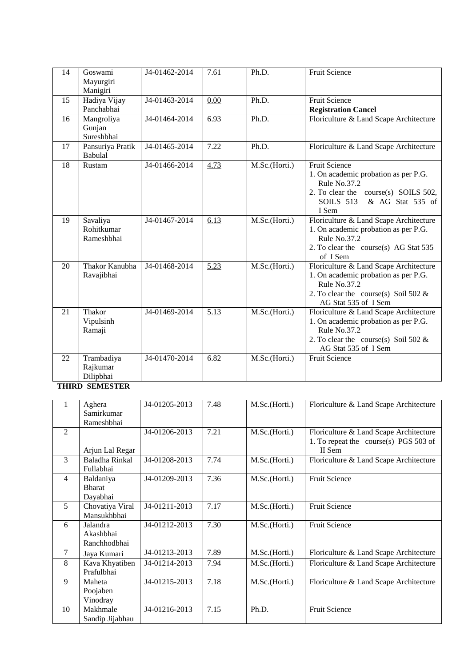| 14 | Goswami<br>Mayurgiri<br>Manigiri     | J4-01462-2014 | 7.61 | Ph.D.         | <b>Fruit Science</b>                                                                                                                                                  |
|----|--------------------------------------|---------------|------|---------------|-----------------------------------------------------------------------------------------------------------------------------------------------------------------------|
| 15 | Hadiya Vijay<br>Panchabhai           | J4-01463-2014 | 0.00 | Ph.D.         | <b>Fruit Science</b><br><b>Registration Cancel</b>                                                                                                                    |
| 16 | Mangroliya<br>Gunjan<br>Sureshbhai   | J4-01464-2014 | 6.93 | Ph.D.         | Floriculture & Land Scape Architecture                                                                                                                                |
| 17 | Pansuriya Pratik<br>Babulal          | J4-01465-2014 | 7.22 | Ph.D.         | Floriculture & Land Scape Architecture                                                                                                                                |
| 18 | Rustam                               | J4-01466-2014 | 4.73 | M.Sc.(Horti.) | <b>Fruit Science</b><br>1. On academic probation as per P.G.<br>Rule No.37.2<br>2. To clear the course(s) SOILS 502,<br><b>SOILS 513</b><br>& AG Stat 535 of<br>I Sem |
| 19 | Savaliya<br>Rohitkumar<br>Rameshbhai | J4-01467-2014 | 6.13 | M.Sc.(Horti.) | Floriculture & Land Scape Architecture<br>1. On academic probation as per P.G.<br>Rule No.37.2<br>2. To clear the course(s) AG Stat 535<br>of I Sem                   |
| 20 | Thakor Kanubha<br>Ravajibhai         | J4-01468-2014 | 5.23 | M.Sc.(Horti.) | Floriculture & Land Scape Architecture<br>1. On academic probation as per P.G.<br>Rule No.37.2<br>2. To clear the course(s) Soil 502 $&$<br>AG Stat 535 of I Sem      |
| 21 | Thakor<br>Vipulsinh<br>Ramaji        | J4-01469-2014 | 5.13 | M.Sc.(Horti.) | Floriculture & Land Scape Architecture<br>1. On academic probation as per P.G.<br>Rule No.37.2<br>2. To clear the course(s) Soil 502 $\&$<br>AG Stat 535 of I Sem     |
| 22 | Trambadiya<br>Rajkumar<br>Dilipbhai  | J4-01470-2014 | 6.82 | M.Sc.(Horti.) | <b>Fruit Science</b>                                                                                                                                                  |

#### **THIRD SEMESTER**

| 1              | Aghera          | J4-01205-2013 | 7.48 | M.Sc.(Horti.) | Floriculture & Land Scape Architecture |
|----------------|-----------------|---------------|------|---------------|----------------------------------------|
|                | Samirkumar      |               |      |               |                                        |
|                | Rameshbhai      |               |      |               |                                        |
| 2              |                 | J4-01206-2013 | 7.21 | M.Sc.(Horti.) | Floriculture & Land Scape Architecture |
|                |                 |               |      |               | 1. To repeat the course(s) PGS 503 of  |
|                | Arjun Lal Regar |               |      |               | II Sem                                 |
| 3              | Baladha Rinkal  | J4-01208-2013 | 7.74 | M.Sc.(Horti.) | Floriculture & Land Scape Architecture |
|                | Fullabhai       |               |      |               |                                        |
| $\overline{4}$ | Baldaniya       | J4-01209-2013 | 7.36 | M.Sc.(Horti.) | <b>Fruit Science</b>                   |
|                | <b>Bharat</b>   |               |      |               |                                        |
|                | Dayabhai        |               |      |               |                                        |
| 5              | Chovatiya Viral | J4-01211-2013 | 7.17 | M.Sc.(Horti.) | <b>Fruit Science</b>                   |
|                | Mansukhbhai     |               |      |               |                                        |
| 6              | Jalandra        | J4-01212-2013 | 7.30 | M.Sc.(Horti.) | <b>Fruit Science</b>                   |
|                | Akashbhai       |               |      |               |                                        |
|                | Ranchhodbhai    |               |      |               |                                        |
| 7              | Jaya Kumari     | J4-01213-2013 | 7.89 | M.Sc.(Horti.) | Floriculture & Land Scape Architecture |
| 8              | Kava Khyatiben  | J4-01214-2013 | 7.94 | M.Sc.(Horti.) | Floriculture & Land Scape Architecture |
|                | Prafulbhai      |               |      |               |                                        |
| 9              | Maheta          | J4-01215-2013 | 7.18 | M.Sc.(Horti.) | Floriculture & Land Scape Architecture |
|                | Poojaben        |               |      |               |                                        |
|                | Vinodray        |               |      |               |                                        |
| 10             | Makhmale        | J4-01216-2013 | 7.15 | Ph.D.         | <b>Fruit Science</b>                   |
|                | Sandip Jijabhau |               |      |               |                                        |